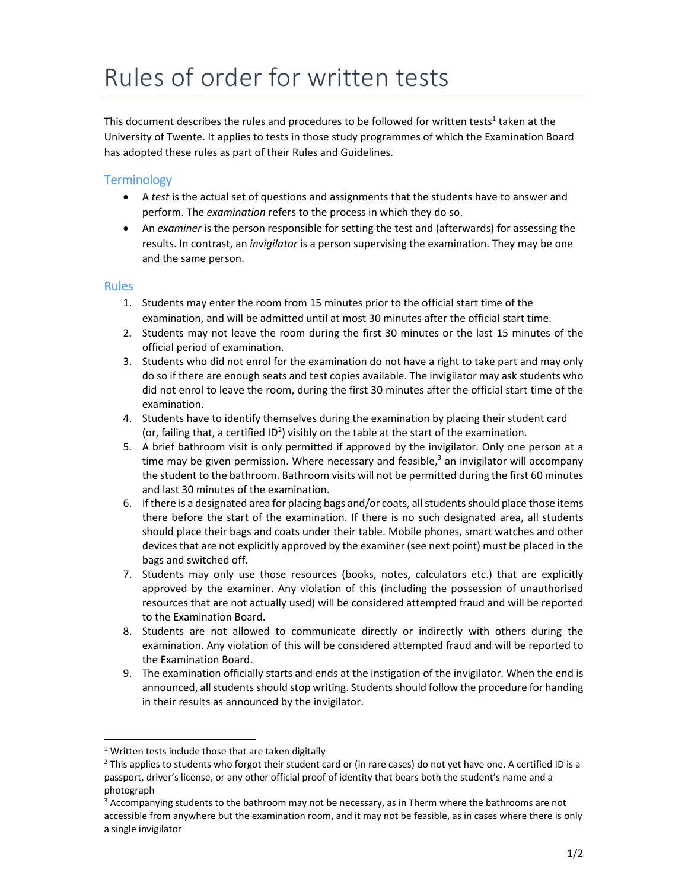## Rules of order for written tests

This document describes the rules and procedures to be followed for written tests<sup>1</sup> taken at the University of Twente. It applies to tests in those study programmes of which the Examination Board has adopted these rules as part of their Rules and Guidelines.

## **Terminology**

- A *test* is the actual set of questions and assignments that the students have to answer and perform. The *examination* refers to the process in which they do so.
- An *examiner* is the person responsible for setting the test and (afterwards) for assessing the results. In contrast, an *invigilator* is a person supervising the examination. They may be one and the same person.

## Rules

- 1. Students may enter the room from 15 minutes prior to the official start time of the examination, and will be admitted until at most 30 minutes after the official start time.
- 2. Students may not leave the room during the first 30 minutes or the last 15 minutes of the official period of examination.
- 3. Students who did not enrol for the examination do not have a right to take part and may only do so if there are enough seats and test copies available. The invigilator may ask students who did not enrol to leave the room, during the first 30 minutes after the official start time of the examination.
- 4. Students have to identify themselves during the examination by placing their student card (or, failing that, a certified ID<sup>2</sup>) visibly on the table at the start of the examination.
- 5. A brief bathroom visit is only permitted if approved by the invigilator. Only one person at a time may be given permission. Where necessary and feasible, $3$  an invigilator will accompany the student to the bathroom. Bathroom visits will not be permitted during the first 60 minutes and last 30 minutes of the examination.
- 6. If there is a designated area for placing bags and/or coats, allstudentsshould place those items there before the start of the examination. If there is no such designated area, all students should place their bags and coats under their table. Mobile phones, smart watches and other devicesthat are not explicitly approved by the examiner (see next point) must be placed in the bags and switched off.
- 7. Students may only use those resources (books, notes, calculators etc.) that are explicitly approved by the examiner. Any violation of this (including the possession of unauthorised resources that are not actually used) will be considered attempted fraud and will be reported to the Examination Board.
- 8. Students are not allowed to communicate directly or indirectly with others during the examination. Any violation of this will be considered attempted fraud and will be reported to the Examination Board.
- 9. The examination officially starts and ends at the instigation of the invigilator. When the end is announced, all students should stop writing. Students should follow the procedure for handing in their results as announced by the invigilator.

 $1$  Written tests include those that are taken digitally

 $2$  This applies to students who forgot their student card or (in rare cases) do not yet have one. A certified ID is a passport, driver's license, or any other official proof of identity that bears both the student's name and a photograph

 $3$  Accompanying students to the bathroom may not be necessary, as in Therm where the bathrooms are not accessible from anywhere but the examination room, and it may not be feasible, as in cases where there is only a single invigilator